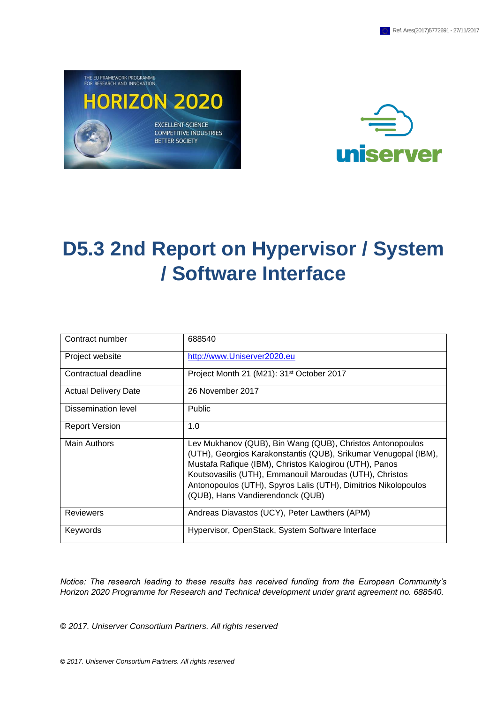



# **D5.3 2nd Report on Hypervisor / System / Software Interface**

| Contract number             | 688540                                                                                                                                                                                                                                                                                                                                                  |
|-----------------------------|---------------------------------------------------------------------------------------------------------------------------------------------------------------------------------------------------------------------------------------------------------------------------------------------------------------------------------------------------------|
| Project website             | http://www.Uniserver2020.eu                                                                                                                                                                                                                                                                                                                             |
| Contractual deadline        | Project Month 21 (M21): 31 <sup>st</sup> October 2017                                                                                                                                                                                                                                                                                                   |
| <b>Actual Delivery Date</b> | 26 November 2017                                                                                                                                                                                                                                                                                                                                        |
| Dissemination level         | <b>Public</b>                                                                                                                                                                                                                                                                                                                                           |
| <b>Report Version</b>       | 1.0                                                                                                                                                                                                                                                                                                                                                     |
| <b>Main Authors</b>         | Lev Mukhanov (QUB), Bin Wang (QUB), Christos Antonopoulos<br>(UTH), Georgios Karakonstantis (QUB), Srikumar Venugopal (IBM),<br>Mustafa Rafique (IBM), Christos Kalogirou (UTH), Panos<br>Koutsovasilis (UTH), Emmanouil Maroudas (UTH), Christos<br>Antonopoulos (UTH), Spyros Lalis (UTH), Dimitrios Nikolopoulos<br>(QUB), Hans Vandierendonck (QUB) |
| <b>Reviewers</b>            | Andreas Diavastos (UCY), Peter Lawthers (APM)                                                                                                                                                                                                                                                                                                           |
| Keywords                    | Hypervisor, OpenStack, System Software Interface                                                                                                                                                                                                                                                                                                        |

*Notice: The research leading to these results has received funding from the European Community's Horizon 2020 Programme for Research and Technical development under grant agreement no. 688540.*

**©** *2017. Uniserver Consortium Partners. All rights reserved*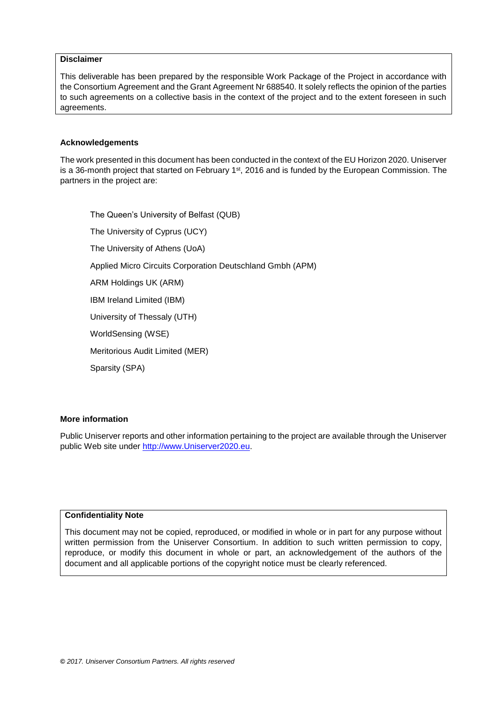#### **Disclaimer**

This deliverable has been prepared by the responsible Work Package of the Project in accordance with the Consortium Agreement and the Grant Agreement Nr 688540. It solely reflects the opinion of the parties to such agreements on a collective basis in the context of the project and to the extent foreseen in such agreements.

#### **Acknowledgements**

The work presented in this document has been conducted in the context of the EU Horizon 2020. Uniserver is a 36-month project that started on February  $1<sup>st</sup>$ , 2016 and is funded by the European Commission. The partners in the project are:

The Queen's University of Belfast (QUB) The University of Cyprus (UCY) The University of Athens (UoA) Applied Micro Circuits Corporation Deutschland Gmbh (APM) ARM Holdings UK (ARM) IBM Ireland Limited (IBM) University of Thessaly (UTH) WorldSensing (WSE) Meritorious Audit Limited (MER) Sparsity (SPA)

#### **More information**

Public Uniserver reports and other information pertaining to the project are available through the Uniserver public Web site under [http://www.Uniserver2020.eu](http://www.uniserver2020.eu/).

#### **Confidentiality Note**

This document may not be copied, reproduced, or modified in whole or in part for any purpose without written permission from the Uniserver Consortium. In addition to such written permission to copy, reproduce, or modify this document in whole or part, an acknowledgement of the authors of the document and all applicable portions of the copyright notice must be clearly referenced.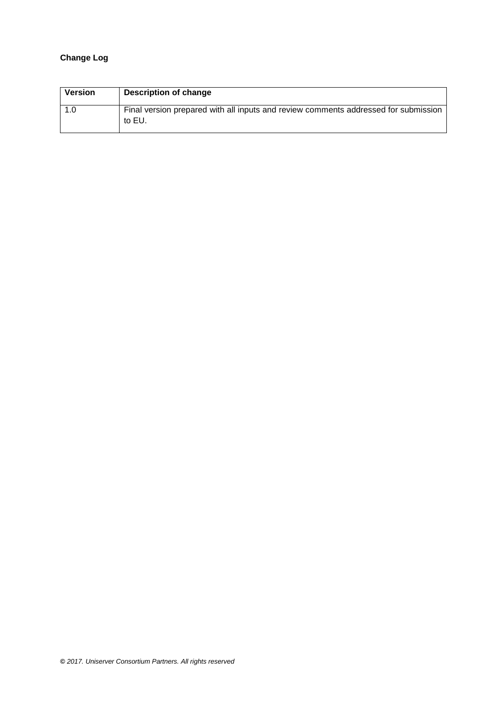#### **Change Log**

| <b>Version</b> | Description of change                                                                         |
|----------------|-----------------------------------------------------------------------------------------------|
| 1.0            | Final version prepared with all inputs and review comments addressed for submission<br>to EU. |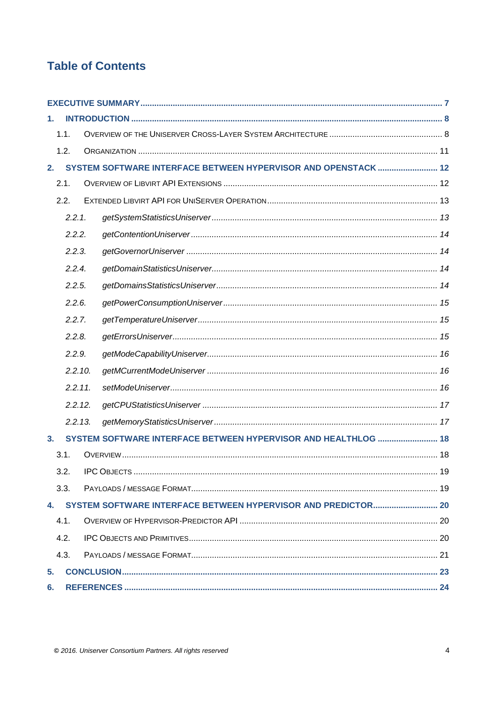## **Table of Contents**

| 1. |            |                                                                |  |
|----|------------|----------------------------------------------------------------|--|
|    | 1.1.       |                                                                |  |
|    | 1.2.       |                                                                |  |
| 2. |            | SYSTEM SOFTWARE INTERFACE BETWEEN HYPERVISOR AND OPENSTACK  12 |  |
|    | 2.1.       |                                                                |  |
|    | 2.2.       |                                                                |  |
|    | 2.2.1.     |                                                                |  |
|    | 2.2.2.     |                                                                |  |
|    | 2.2.3.     |                                                                |  |
|    | 2.2.4.     |                                                                |  |
|    | 2.2.5.     |                                                                |  |
|    | 2.2.6.     |                                                                |  |
|    | 2.2.7.     |                                                                |  |
|    | 2.2.8.     |                                                                |  |
|    | 2.2.9.     |                                                                |  |
|    | 2.2.10.    |                                                                |  |
|    | $2.2.11$ . |                                                                |  |
|    | 2.2.12.    |                                                                |  |
|    | 2.2.13.    |                                                                |  |
| 3. |            | SYSTEM SOFTWARE INTERFACE BETWEEN HYPERVISOR AND HEALTHLOG  18 |  |
|    | 3.1.       |                                                                |  |
|    | 3.2.       |                                                                |  |
|    | 3.3.       |                                                                |  |
|    |            |                                                                |  |
|    | 4.1.       |                                                                |  |
|    | 4.2.       |                                                                |  |
|    | 4.3.       |                                                                |  |
| 5. |            |                                                                |  |
| 6. |            |                                                                |  |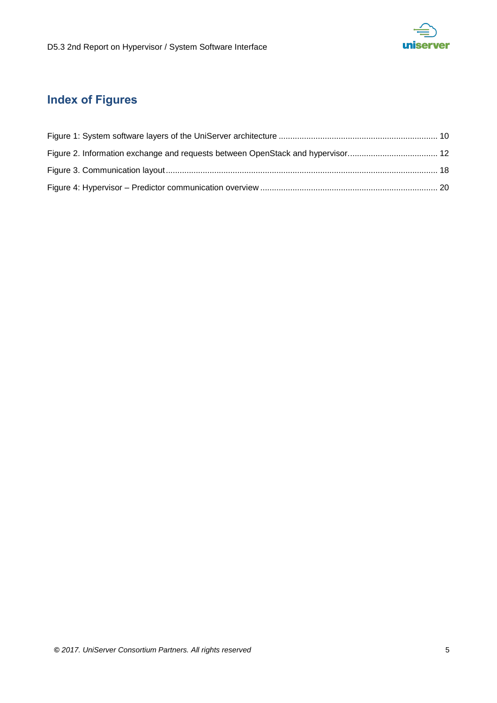

## **Index of Figures**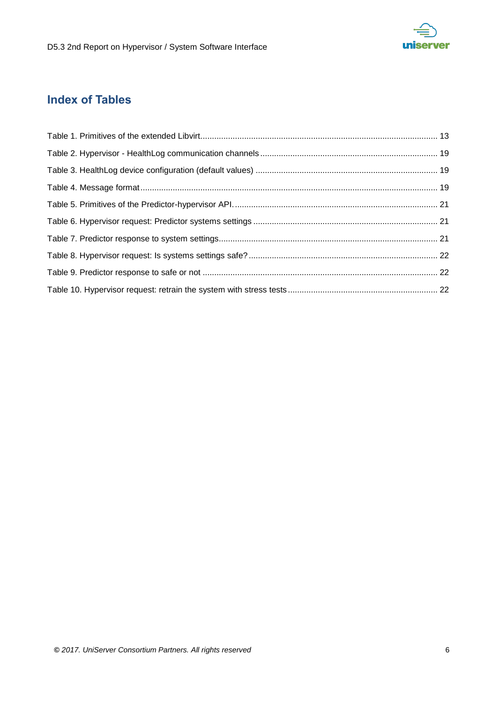

## **Index of Tables**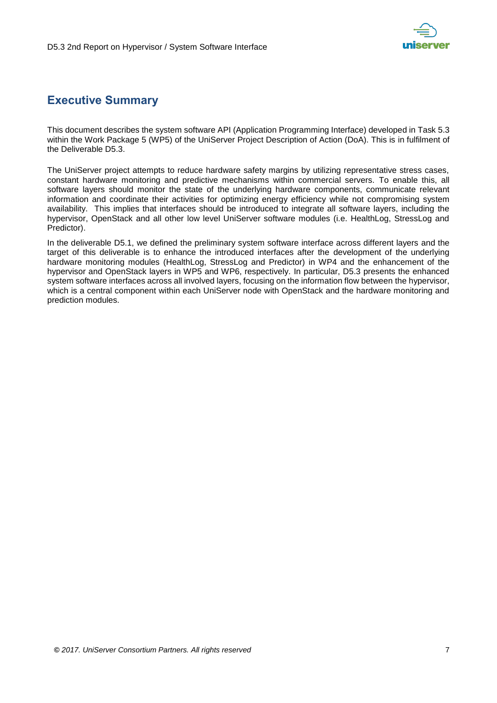

## <span id="page-6-0"></span>**Executive Summary**

This document describes the system software API (Application Programming Interface) developed in Task 5.3 within the Work Package 5 (WP5) of the UniServer Project Description of Action (DoA). This is in fulfilment of the Deliverable D5.3.

The UniServer project attempts to reduce hardware safety margins by utilizing representative stress cases, constant hardware monitoring and predictive mechanisms within commercial servers. To enable this, all software layers should monitor the state of the underlying hardware components, communicate relevant information and coordinate their activities for optimizing energy efficiency while not compromising system availability. This implies that interfaces should be introduced to integrate all software layers, including the hypervisor, OpenStack and all other low level UniServer software modules (i.e. HealthLog, StressLog and Predictor).

In the deliverable D5.1, we defined the preliminary system software interface across different layers and the target of this deliverable is to enhance the introduced interfaces after the development of the underlying hardware monitoring modules (HealthLog, StressLog and Predictor) in WP4 and the enhancement of the hypervisor and OpenStack layers in WP5 and WP6, respectively. In particular, D5.3 presents the enhanced system software interfaces across all involved layers, focusing on the information flow between the hypervisor, which is a central component within each UniServer node with OpenStack and the hardware monitoring and prediction modules.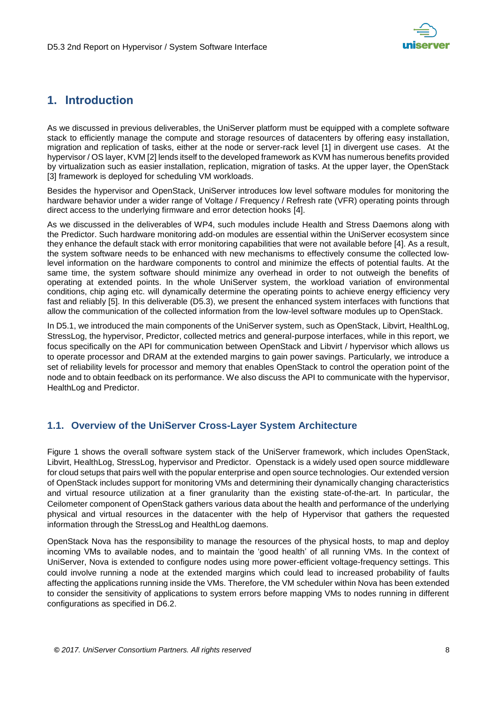

## <span id="page-7-0"></span>**1. Introduction**

As we discussed in previous deliverables, the UniServer platform must be equipped with a complete software stack to efficiently manage the compute and storage resources of datacenters by offering easy installation, migration and replication of tasks, either at the node or server-rack level [1] in divergent use cases. At the hypervisor / OS layer, KVM [2] lends itself to the developed framework as KVM has numerous benefits provided by virtualization such as easier installation, replication, migration of tasks. At the upper layer, the OpenStack [3] framework is deployed for scheduling VM workloads.

Besides the hypervisor and OpenStack, UniServer introduces low level software modules for monitoring the hardware behavior under a wider range of Voltage / Frequency / Refresh rate (VFR) operating points through direct access to the underlying firmware and error detection hooks [4].

As we discussed in the deliverables of WP4, such modules include Health and Stress Daemons along with the Predictor. Such hardware monitoring add-on modules are essential within the UniServer ecosystem since they enhance the default stack with error monitoring capabilities that were not available before [4]. As a result, the system software needs to be enhanced with new mechanisms to effectively consume the collected lowlevel information on the hardware components to control and minimize the effects of potential faults. At the same time, the system software should minimize any overhead in order to not outweigh the benefits of operating at extended points. In the whole UniServer system, the workload variation of environmental conditions, chip aging etc. will dynamically determine the operating points to achieve energy efficiency very fast and reliably [5]. In this deliverable (D5.3), we present the enhanced system interfaces with functions that allow the communication of the collected information from the low-level software modules up to OpenStack.

In D5.1, we introduced the main components of the UniServer system, such as OpenStack, Libvirt, HealthLog, StressLog, the hypervisor, Predictor, collected metrics and general-purpose interfaces, while in this report, we focus specifically on the API for communication between OpenStack and Libvirt / hypervisor which allows us to operate processor and DRAM at the extended margins to gain power savings. Particularly, we introduce a set of reliability levels for processor and memory that enables OpenStack to control the operation point of the node and to obtain feedback on its performance. We also discuss the API to communicate with the hypervisor, HealthLog and Predictor.

#### <span id="page-7-1"></span>**1.1. Overview of the UniServer Cross-Layer System Architecture**

[Figure 1](#page-9-0) shows the overall software system stack of the UniServer framework, which includes OpenStack, Libvirt, HealthLog, StressLog, hypervisor and Predictor. Openstack is a widely used open source middleware for cloud setups that pairs well with the popular enterprise and open source technologies. Our extended version of OpenStack includes support for monitoring VMs and determining their dynamically changing characteristics and virtual resource utilization at a finer granularity than the existing state-of-the-art. In particular, the Ceilometer component of OpenStack gathers various data about the health and performance of the underlying physical and virtual resources in the datacenter with the help of Hypervisor that gathers the requested information through the StressLog and HealthLog daemons.

OpenStack Nova has the responsibility to manage the resources of the physical hosts, to map and deploy incoming VMs to available nodes, and to maintain the 'good health' of all running VMs. In the context of UniServer, Nova is extended to configure nodes using more power-efficient voltage-frequency settings. This could involve running a node at the extended margins which could lead to increased probability of faults affecting the applications running inside the VMs. Therefore, the VM scheduler within Nova has been extended to consider the sensitivity of applications to system errors before mapping VMs to nodes running in different configurations as specified in D6.2.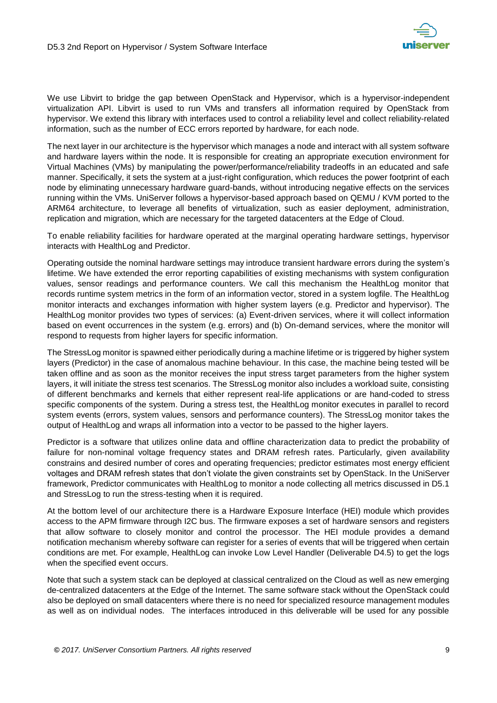

We use Libvirt to bridge the gap between OpenStack and Hypervisor, which is a hypervisor-independent virtualization API. Libvirt is used to run VMs and transfers all information required by OpenStack from hypervisor. We extend this library with interfaces used to control a reliability level and collect reliability-related information, such as the number of ECC errors reported by hardware, for each node.

The next layer in our architecture is the hypervisor which manages a node and interact with all system software and hardware layers within the node. It is responsible for creating an appropriate execution environment for Virtual Machines (VMs) by manipulating the power/performance/reliability tradeoffs in an educated and safe manner. Specifically, it sets the system at a just-right configuration, which reduces the power footprint of each node by eliminating unnecessary hardware guard-bands, without introducing negative effects on the services running within the VMs. UniServer follows a hypervisor-based approach based on QEMU / KVM ported to the ARM64 architecture, to leverage all benefits of virtualization, such as easier deployment, administration, replication and migration, which are necessary for the targeted datacenters at the Edge of Cloud.

To enable reliability facilities for hardware operated at the marginal operating hardware settings, hypervisor interacts with HealthLog and Predictor.

Operating outside the nominal hardware settings may introduce transient hardware errors during the system's lifetime. We have extended the error reporting capabilities of existing mechanisms with system configuration values, sensor readings and performance counters. We call this mechanism the HealthLog monitor that records runtime system metrics in the form of an information vector, stored in a system logfile. The HealthLog monitor interacts and exchanges information with higher system layers (e.g. Predictor and hypervisor). The HealthLog monitor provides two types of services: (a) Event-driven services, where it will collect information based on event occurrences in the system (e.g. errors) and (b) On-demand services, where the monitor will respond to requests from higher layers for specific information.

The StressLog monitor is spawned either periodically during a machine lifetime or is triggered by higher system layers (Predictor) in the case of anomalous machine behaviour. In this case, the machine being tested will be taken offline and as soon as the monitor receives the input stress target parameters from the higher system layers, it will initiate the stress test scenarios. The StressLog monitor also includes a workload suite, consisting of different benchmarks and kernels that either represent real-life applications or are hand-coded to stress specific components of the system. During a stress test, the HealthLog monitor executes in parallel to record system events (errors, system values, sensors and performance counters). The StressLog monitor takes the output of HealthLog and wraps all information into a vector to be passed to the higher layers.

Predictor is a software that utilizes online data and offline characterization data to predict the probability of failure for non-nominal voltage frequency states and DRAM refresh rates. Particularly, given availability constrains and desired number of cores and operating frequencies; predictor estimates most energy efficient voltages and DRAM refresh states that don't violate the given constraints set by OpenStack. In the UniServer framework, Predictor communicates with HealthLog to monitor a node collecting all metrics discussed in D5.1 and StressLog to run the stress-testing when it is required.

At the bottom level of our architecture there is a Hardware Exposure Interface (HEI) module which provides access to the APM firmware through I2C bus. The firmware exposes a set of hardware sensors and registers that allow software to closely monitor and control the processor. The HEI module provides a demand notification mechanism whereby software can register for a series of events that will be triggered when certain conditions are met. For example, HealthLog can invoke Low Level Handler (Deliverable D4.5) to get the logs when the specified event occurs.

Note that such a system stack can be deployed at classical centralized on the Cloud as well as new emerging de-centralized datacenters at the Edge of the Internet. The same software stack without the OpenStack could also be deployed on small datacenters where there is no need for specialized resource management modules as well as on individual nodes. The interfaces introduced in this deliverable will be used for any possible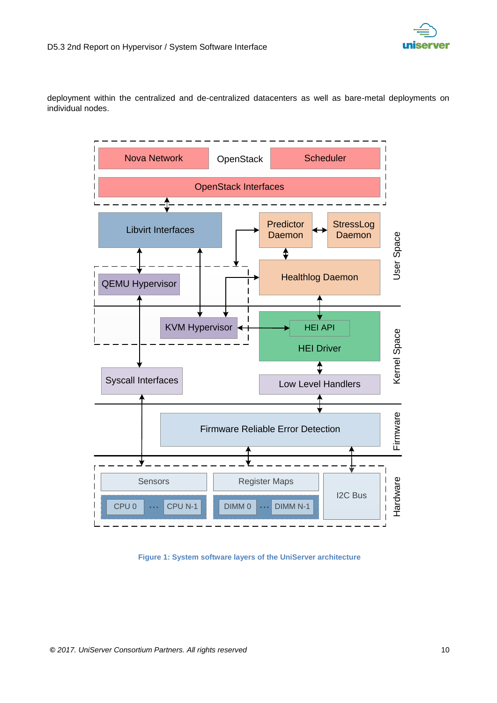

deployment within the centralized and de-centralized datacenters as well as bare-metal deployments on individual nodes.



<span id="page-9-0"></span>**Figure 1: System software layers of the UniServer architecture**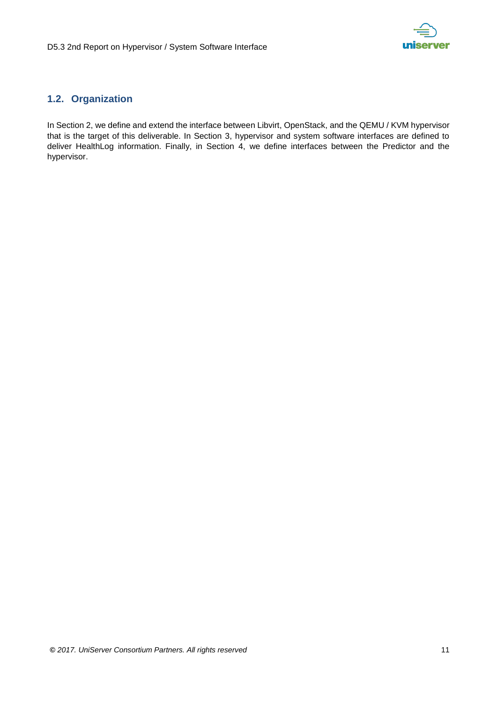

### <span id="page-10-0"></span>**1.2. Organization**

In Section 2, we define and extend the interface between Libvirt, OpenStack, and the QEMU / KVM hypervisor that is the target of this deliverable. In Section 3, hypervisor and system software interfaces are defined to deliver HealthLog information. Finally, in Section 4, we define interfaces between the Predictor and the hypervisor.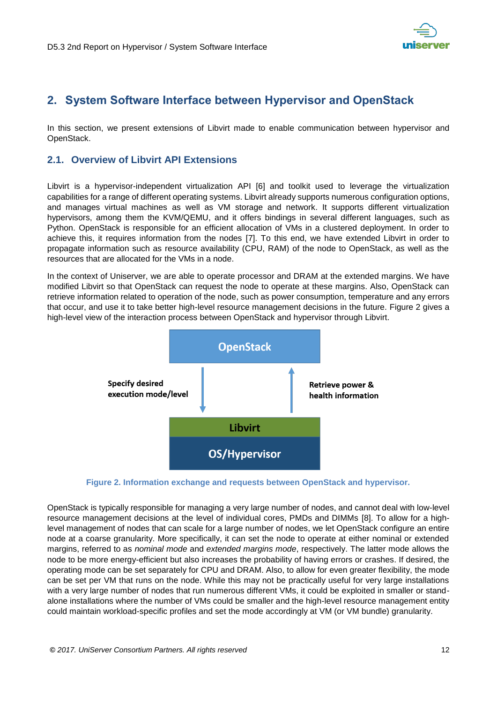

## <span id="page-11-0"></span>**2. System Software Interface between Hypervisor and OpenStack**

In this section, we present extensions of Libvirt made to enable communication between hypervisor and OpenStack.

#### <span id="page-11-1"></span>**2.1. Overview of Libvirt API Extensions**

Libvirt is a hypervisor-independent virtualization API [6] and toolkit used to leverage the virtualization capabilities for a range of different operating systems. Libvirt already supports numerous configuration options, and manages virtual machines as well as VM storage and network. It supports different virtualization hypervisors, among them the KVM/QEMU, and it offers bindings in several different languages, such as Python. OpenStack is responsible for an efficient allocation of VMs in a clustered deployment. In order to achieve this, it requires information from the nodes [7]. To this end, we have extended Libvirt in order to propagate information such as resource availability (CPU, RAM) of the node to OpenStack, as well as the resources that are allocated for the VMs in a node.

In the context of Uniserver, we are able to operate processor and DRAM at the extended margins. We have modified Libvirt so that OpenStack can request the node to operate at these margins. Also, OpenStack can retrieve information related to operation of the node, such as power consumption, temperature and any errors that occur, and use it to take better high-level resource management decisions in the future. [Figure 2](#page-11-2) gives a high-level view of the interaction process between OpenStack and hypervisor through Libvirt.



**Figure 2. Information exchange and requests between OpenStack and hypervisor.**

<span id="page-11-2"></span>OpenStack is typically responsible for managing a very large number of nodes, and cannot deal with low-level resource management decisions at the level of individual cores, PMDs and DIMMs [8]. To allow for a highlevel management of nodes that can scale for a large number of nodes, we let OpenStack configure an entire node at a coarse granularity. More specifically, it can set the node to operate at either nominal or extended margins, referred to as *nominal mode* and *extended margins mode*, respectively. The latter mode allows the node to be more energy-efficient but also increases the probability of having errors or crashes. If desired, the operating mode can be set separately for CPU and DRAM. Also, to allow for even greater flexibility, the mode can be set per VM that runs on the node. While this may not be practically useful for very large installations with a very large number of nodes that run numerous different VMs, it could be exploited in smaller or standalone installations where the number of VMs could be smaller and the high-level resource management entity could maintain workload-specific profiles and set the mode accordingly at VM (or VM bundle) granularity.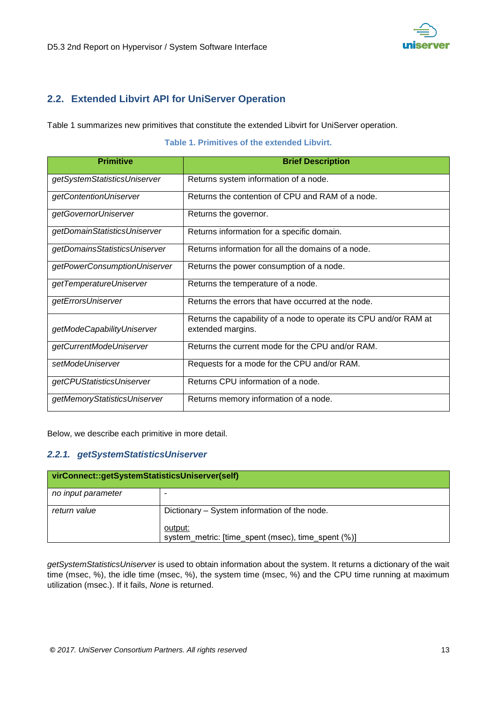### <span id="page-12-0"></span>**2.2. Extended Libvirt API for UniServer Operation**

[Table 1](#page-12-2) summarizes new primitives that constitute the extended Libvirt for UniServer operation.

#### **Table 1. Primitives of the extended Libvirt.**

<span id="page-12-2"></span>

| <b>Primitive</b>              | <b>Brief Description</b>                                                               |
|-------------------------------|----------------------------------------------------------------------------------------|
| getSystemStatisticsUniserver  | Returns system information of a node.                                                  |
| getContentionUniserver        | Returns the contention of CPU and RAM of a node.                                       |
| getGovernorUniserver          | Returns the governor.                                                                  |
| getDomainStatisticsUniserver  | Returns information for a specific domain.                                             |
| getDomainsStatisticsUniserver | Returns information for all the domains of a node.                                     |
| getPowerConsumptionUniserver  | Returns the power consumption of a node.                                               |
| getTemperatureUniserver       | Returns the temperature of a node.                                                     |
| getErrorsUniserver            | Returns the errors that have occurred at the node.                                     |
| getModeCapabilityUniserver    | Returns the capability of a node to operate its CPU and/or RAM at<br>extended margins. |
| getCurrentModeUniserver       | Returns the current mode for the CPU and/or RAM.                                       |
| setModeUniserver              | Requests for a mode for the CPU and/or RAM.                                            |
| getCPUStatisticsUniserver     | Returns CPU information of a node.                                                     |
| getMemoryStatisticsUniserver  | Returns memory information of a node.                                                  |

Below, we describe each primitive in more detail.

#### <span id="page-12-1"></span>*2.2.1. getSystemStatisticsUniserver*

| virConnect::getSystemStatisticsUniserver(self) |                                                               |  |
|------------------------------------------------|---------------------------------------------------------------|--|
| no input parameter                             |                                                               |  |
| return value                                   | Dictionary – System information of the node.                  |  |
|                                                | output:<br>system metric: [time spent (msec), time spent (%)] |  |

*getSystemStatisticsUniserver* is used to obtain information about the system. It returns a dictionary of the wait time (msec, %), the idle time (msec, %), the system time (msec, %) and the CPU time running at maximum utilization (msec.). If it fails, *None* is returned.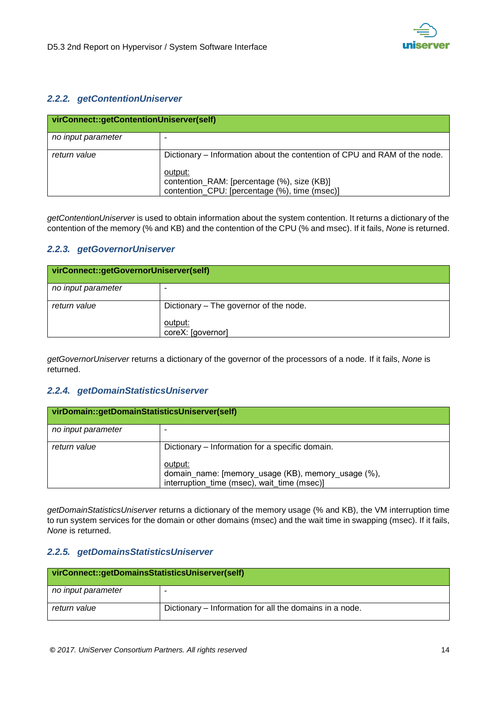

#### <span id="page-13-0"></span>*2.2.2. getContentionUniserver*

| virConnect::getContentionUniserver(self) |                                                                                                         |  |
|------------------------------------------|---------------------------------------------------------------------------------------------------------|--|
| no input parameter                       |                                                                                                         |  |
| return value                             | Dictionary – Information about the contention of CPU and RAM of the node.                               |  |
|                                          | output:<br>contention_RAM: [percentage (%), size (KB)]<br>contention_CPU: [percentage (%), time (msec)] |  |

*getContentionUniserver* is used to obtain information about the system contention. It returns a dictionary of the contention of the memory (% and KB) and the contention of the CPU (% and msec). If it fails, *None* is returned.

#### <span id="page-13-1"></span>*2.2.3. getGovernorUniserver*

| virConnect::getGovernorUniserver(self) |                                                                        |  |
|----------------------------------------|------------------------------------------------------------------------|--|
| no input parameter                     |                                                                        |  |
| return value                           | Dictionary – The governor of the node.<br>output:<br>coreX: [governor] |  |

*getGovernorUniserver* returns a dictionary of the governor of the processors of a node. If it fails, *None* is returned.

#### <span id="page-13-2"></span>*2.2.4. getDomainStatisticsUniserver*

| virDomain::getDomainStatisticsUniserver(self) |                                                                                                              |  |
|-----------------------------------------------|--------------------------------------------------------------------------------------------------------------|--|
| no input parameter                            |                                                                                                              |  |
| return value                                  | Dictionary – Information for a specific domain.                                                              |  |
|                                               | output:<br>domain_name: [memory_usage (KB), memory_usage (%),<br>interruption time (msec), wait time (msec)] |  |

*getDomainStatisticsUniserver* returns a dictionary of the memory usage (% and KB), the VM interruption time to run system services for the domain or other domains (msec) and the wait time in swapping (msec). If it fails, *None* is returned.

#### <span id="page-13-3"></span>*2.2.5. getDomainsStatisticsUniserver*

| virConnect::getDomainsStatisticsUniserver(self) |                                                         |  |
|-------------------------------------------------|---------------------------------------------------------|--|
| no input parameter                              |                                                         |  |
| return value                                    | Dictionary – Information for all the domains in a node. |  |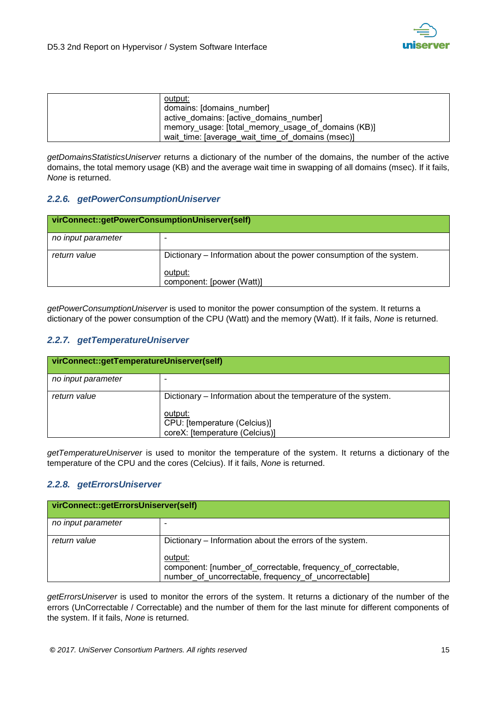

| output:                                            |
|----------------------------------------------------|
| domains: [domains number]                          |
| active domains: [active domains number]            |
| memory usage: [total memory usage of domains (KB)] |
| wait time: [average wait time of domains (msec)]   |

*getDomainsStatisticsUniserver* returns a dictionary of the number of the domains, the number of the active domains, the total memory usage (KB) and the average wait time in swapping of all domains (msec). If it fails, *None* is returned.

#### <span id="page-14-0"></span>*2.2.6. getPowerConsumptionUniserver*

| virConnect::getPowerConsumptionUniserver(self) |                                                                     |  |
|------------------------------------------------|---------------------------------------------------------------------|--|
| no input parameter                             |                                                                     |  |
| return value                                   | Dictionary – Information about the power consumption of the system. |  |
|                                                | output:<br>component: [power (Watt)]                                |  |

*getPowerConsumptionUniserver* is used to monitor the power consumption of the system. It returns a dictionary of the power consumption of the CPU (Watt) and the memory (Watt). If it fails, *None* is returned.

#### <span id="page-14-1"></span>*2.2.7. getTemperatureUniserver*

| virConnect::getTemperatureUniserver(self) |                                                                           |  |
|-------------------------------------------|---------------------------------------------------------------------------|--|
| no input parameter                        |                                                                           |  |
| return value                              | Dictionary – Information about the temperature of the system.             |  |
|                                           | output:<br>CPU: [temperature (Celcius)]<br>coreX: [temperature (Celcius)] |  |

*getTemperatureUniserver* is used to monitor the temperature of the system. It returns a dictionary of the temperature of the CPU and the cores (Celcius). If it fails, *None* is returned.

#### <span id="page-14-2"></span>*2.2.8. getErrorsUniserver*

| virConnect::getErrorsUniserver(self) |                                                                                                                                 |  |
|--------------------------------------|---------------------------------------------------------------------------------------------------------------------------------|--|
| no input parameter                   |                                                                                                                                 |  |
| return value                         | Dictionary – Information about the errors of the system.                                                                        |  |
|                                      | output:<br>component: [number of correctable, frequency of correctable,<br>number of uncorrectable, frequency of uncorrectable] |  |

*getErrorsUniserver* is used to monitor the errors of the system. It returns a dictionary of the number of the errors (UnCorrectable / Correctable) and the number of them for the last minute for different components of the system. If it fails, *None* is returned.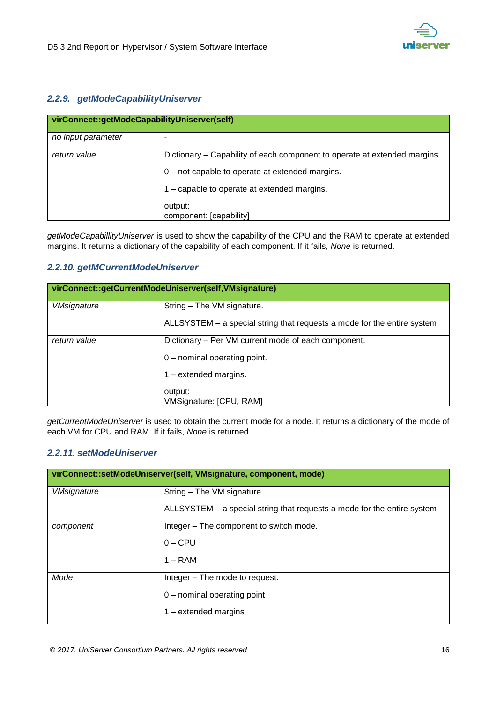

#### <span id="page-15-0"></span>*2.2.9. getModeCapabilityUniserver*

| virConnect::getModeCapabilityUniserver(self) |                                                                           |  |
|----------------------------------------------|---------------------------------------------------------------------------|--|
| no input parameter                           |                                                                           |  |
| return value                                 | Dictionary – Capability of each component to operate at extended margins. |  |
|                                              | 0 - not capable to operate at extended margins.                           |  |
|                                              | 1 - capable to operate at extended margins.                               |  |
|                                              | output:<br>component: [capability]                                        |  |

*getModeCapabillityUniserver* is used to show the capability of the CPU and the RAM to operate at extended margins. It returns a dictionary of the capability of each component. If it fails, *None* is returned.

#### <span id="page-15-1"></span>*2.2.10. getMCurrentModeUniserver*

| virConnect::getCurrentModeUniserver(self,VMsignature) |                                                                         |  |
|-------------------------------------------------------|-------------------------------------------------------------------------|--|
| <b>VMsignature</b>                                    | String – The VM signature.                                              |  |
|                                                       | ALLSYSTEM – a special string that requests a mode for the entire system |  |
| return value                                          | Dictionary – Per VM current mode of each component.                     |  |
|                                                       | 0 - nominal operating point.                                            |  |
|                                                       | $1$ – extended margins.                                                 |  |
|                                                       | output:<br>VMSignature: [CPU, RAM]                                      |  |

*getCurrentModeUniserver* is used to obtain the current mode for a node. It returns a dictionary of the mode of each VM for CPU and RAM. If it fails, *None* is returned.

#### <span id="page-15-2"></span>*2.2.11. setModeUniserver*

| virConnect::setModeUniserver(self, VMsignature, component, mode) |                                                                          |  |
|------------------------------------------------------------------|--------------------------------------------------------------------------|--|
| <b>VMsignature</b>                                               | String - The VM signature.                                               |  |
|                                                                  | ALLSYSTEM – a special string that requests a mode for the entire system. |  |
| component                                                        | Integer – The component to switch mode.                                  |  |
|                                                                  | $0 - CPU$                                                                |  |
|                                                                  | $1 - RAM$                                                                |  |
| Mode                                                             | Integer – The mode to request.                                           |  |
|                                                                  | 0 - nominal operating point                                              |  |
|                                                                  | $1$ – extended margins                                                   |  |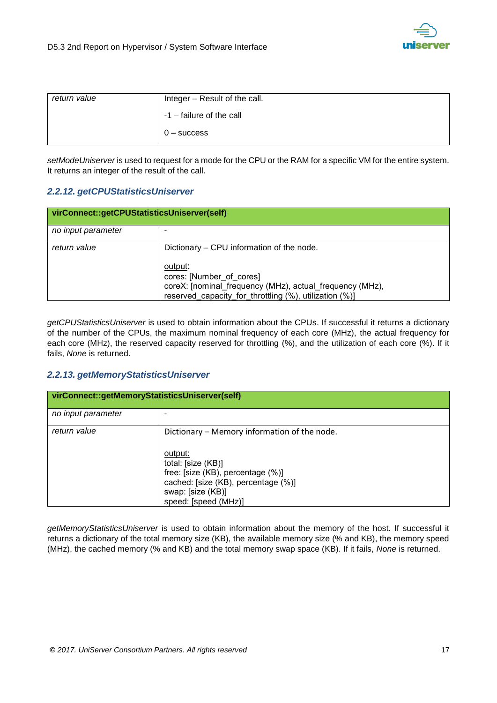

| return value | Integer - Result of the call. |  |
|--------------|-------------------------------|--|
|              | -1 – failure of the call      |  |
|              | $0 -$ success                 |  |

*setModeUniserver* is used to request for a mode for the CPU or the RAM for a specific VM for the entire system. It returns an integer of the result of the call.

#### <span id="page-16-0"></span>*2.2.12. getCPUStatisticsUniserver*

| virConnect::getCPUStatisticsUniserver(self) |                                                                                                                                                                                                        |  |
|---------------------------------------------|--------------------------------------------------------------------------------------------------------------------------------------------------------------------------------------------------------|--|
| no input parameter                          |                                                                                                                                                                                                        |  |
| return value                                | Dictionary – CPU information of the node.<br>output:<br>cores: [Number of cores]<br>coreX: [nominal_frequency (MHz), actual_frequency (MHz),<br>reserved capacity for throttling (%), utilization (%)] |  |

*getCPUStatisticsUniserver* is used to obtain information about the CPUs. If successful it returns a dictionary of the number of the CPUs, the maximum nominal frequency of each core (MHz), the actual frequency for each core (MHz), the reserved capacity reserved for throttling (%), and the utilization of each core (%). If it fails, *None* is returned.

#### <span id="page-16-1"></span>*2.2.13. getMemoryStatisticsUniserver*

| virConnect::getMemoryStatisticsUniserver(self) |                                              |  |
|------------------------------------------------|----------------------------------------------|--|
| no input parameter                             |                                              |  |
| return value                                   | Dictionary - Memory information of the node. |  |
|                                                | output:<br>total: [size (KB)]                |  |
|                                                | free: [size (KB), percentage (%)]            |  |
|                                                | cached: [size (KB), percentage (%)]          |  |
|                                                | swap: [size (KB)]                            |  |
|                                                | speed: [speed (MHz)]                         |  |

*getMemoryStatisticsUniserver* is used to obtain information about the memory of the host. If successful it returns a dictionary of the total memory size (KB), the available memory size (% and KB), the memory speed (MHz), the cached memory (% and KB) and the total memory swap space (KB). If it fails, *None* is returned.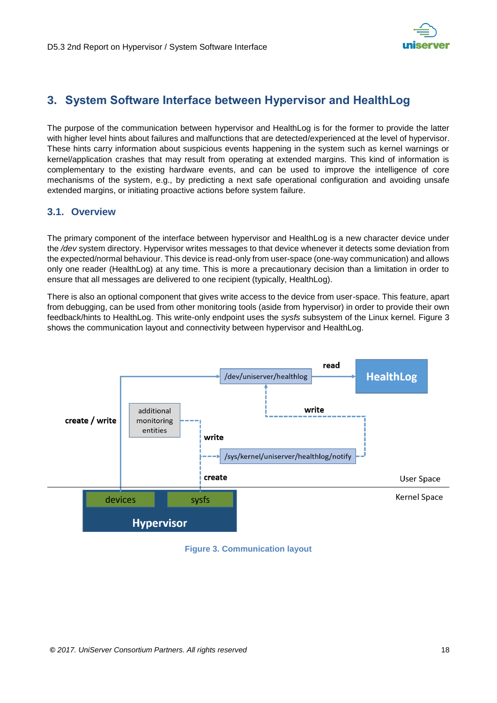

## <span id="page-17-0"></span>**3. System Software Interface between Hypervisor and HealthLog**

The purpose of the communication between hypervisor and HealthLog is for the former to provide the latter with higher level hints about failures and malfunctions that are detected/experienced at the level of hypervisor. These hints carry information about suspicious events happening in the system such as kernel warnings or kernel/application crashes that may result from operating at extended margins. This kind of information is complementary to the existing hardware events, and can be used to improve the intelligence of core mechanisms of the system, e.g., by predicting a next safe operational configuration and avoiding unsafe extended margins, or initiating proactive actions before system failure.

#### <span id="page-17-1"></span>**3.1. Overview**

The primary component of the interface between hypervisor and HealthLog is a new character device under the */dev* system directory. Hypervisor writes messages to that device whenever it detects some deviation from the expected/normal behaviour. This device is read-only from user-space (one-way communication) and allows only one reader (HealthLog) at any time. This is more a precautionary decision than a limitation in order to ensure that all messages are delivered to one recipient (typically, HealthLog).

There is also an optional component that gives write access to the device from user-space. This feature, apart from debugging, can be used from other monitoring tools (aside from hypervisor) in order to provide their own feedback/hints to HealthLog. This write-only endpoint uses the *sysfs* subsystem of the Linux kernel. [Figure 3](#page-17-2) shows the communication layout and connectivity between hypervisor and HealthLog.



<span id="page-17-2"></span>**Figure 3. Communication layout**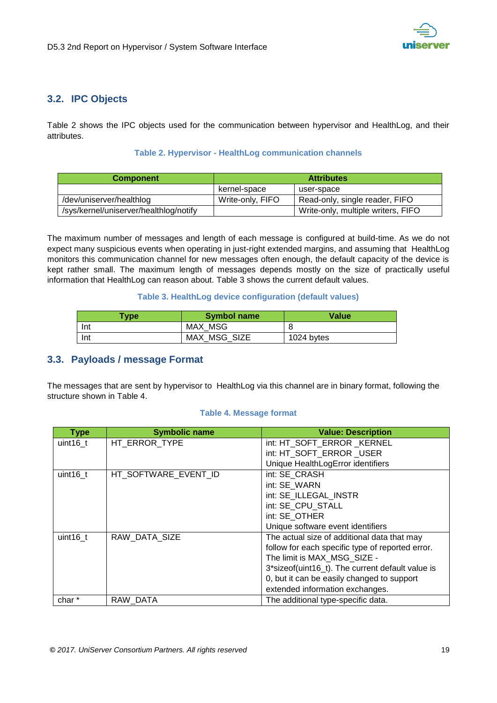

#### <span id="page-18-0"></span>**3.2. IPC Objects**

[Table 2](#page-18-2) shows the IPC objects used for the communication between hypervisor and HealthLog, and their attributes.

#### **Table 2. Hypervisor - HealthLog communication channels**

<span id="page-18-2"></span>

| <b>Component</b>                       | <b>Attributes</b> |                                    |
|----------------------------------------|-------------------|------------------------------------|
|                                        | kernel-space      | user-space                         |
| /dev/uniserver/healthlog               | Write-only, FIFO  | Read-only, single reader, FIFO     |
| /sys/kernel/uniserver/healthlog/notify |                   | Write-only, multiple writers, FIFO |

The maximum number of messages and length of each message is configured at build-time. As we do not expect many suspicious events when operating in just-right extended margins, and assuming that HealthLog monitors this communication channel for new messages often enough, the default capacity of the device is kept rather small. The maximum length of messages depends mostly on the size of practically useful information that HealthLog can reason about. [Table 3](#page-18-3) shows the current default values.

#### **Table 3. HealthLog device configuration (default values)**

<span id="page-18-3"></span>

| <b>Type</b> | <b>Symbol name</b> | <b>Value</b> |
|-------------|--------------------|--------------|
| Int         | MAX MSG            |              |
| Int         | MAX MSG SIZE       | 1024 bytes   |

#### <span id="page-18-1"></span>**3.3. Payloads / message Format**

The messages that are sent by hypervisor to HealthLog via this channel are in binary format, following the structure shown in [Table 4.](#page-18-4)

#### **Table 4. Message format**

<span id="page-18-4"></span>

| <b>Type</b> | <b>Symbolic name</b> | <b>Value: Description</b>                        |
|-------------|----------------------|--------------------------------------------------|
| uint $16$ t | HT ERROR TYPE        | int: HT SOFT ERROR KERNEL                        |
|             |                      | int: HT SOFT ERROR USER                          |
|             |                      | Unique HealthLogError identifiers                |
| uint16 t    | HT SOFTWARE EVENT ID | int: SE CRASH                                    |
|             |                      | int: SE WARN                                     |
|             |                      | int: SE ILLEGAL INSTR                            |
|             |                      | int: SE CPU STALL                                |
|             |                      | int: SE OTHER                                    |
|             |                      | Unique software event identifiers                |
| uint16 t    | RAW DATA SIZE        | The actual size of additional data that may      |
|             |                      | follow for each specific type of reported error. |
|             |                      | The limit is MAX MSG SIZE -                      |
|             |                      | 3*sizeof(uint16_t). The current default value is |
|             |                      | 0, but it can be easily changed to support       |
|             |                      | extended information exchanges.                  |
| char *      | RAW DATA             | The additional type-specific data.               |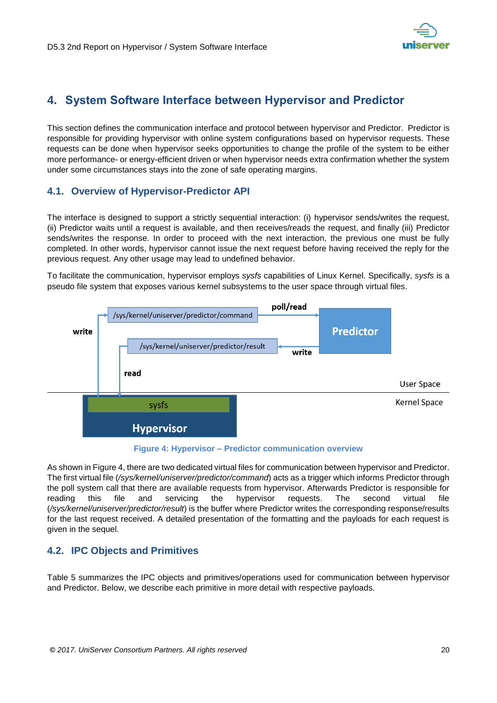

## <span id="page-19-0"></span>**4. System Software Interface between Hypervisor and Predictor**

This section defines the communication interface and protocol between hypervisor and Predictor. Predictor is responsible for providing hypervisor with online system configurations based on hypervisor requests. These requests can be done when hypervisor seeks opportunities to change the profile of the system to be either more performance- or energy-efficient driven or when hypervisor needs extra confirmation whether the system under some circumstances stays into the zone of safe operating margins.

#### <span id="page-19-1"></span>**4.1. Overview of Hypervisor-Predictor API**

The interface is designed to support a strictly sequential interaction: (i) hypervisor sends/writes the request, (ii) Predictor waits until a request is available, and then receives/reads the request, and finally (iii) Predictor sends/writes the response. In order to proceed with the next interaction, the previous one must be fully completed. In other words, hypervisor cannot issue the next request before having received the reply for the previous request. Any other usage may lead to undefined behavior.

To facilitate the communication, hypervisor employs *sysfs* capabilities of Linux Kernel. Specifically, *sysfs* is a pseudo file system that exposes various kernel subsystems to the user space through virtual files.



#### **Figure 4: Hypervisor – Predictor communication overview**

<span id="page-19-3"></span>As shown in Figure 4, there are two dedicated virtual files for communication between hypervisor and Predictor. The first virtual file (*/sys/kernel/uniserver/predictor/command*) acts as a trigger which informs Predictor through the poll system call that there are available requests from hypervisor. Afterwards Predictor is responsible for reading this file and servicing the hypervisor requests. The second virtual file (*/sys/kernel/uniserver/predictor/result*) is the buffer where Predictor writes the corresponding response/results for the last request received. A detailed presentation of the formatting and the payloads for each request is given in the sequel.

#### <span id="page-19-2"></span>**4.2. IPC Objects and Primitives**

[Table](#page-20-1) 5 summarizes the IPC objects and primitives/operations used for communication between hypervisor and Predictor. Below, we describe each primitive in more detail with respective payloads.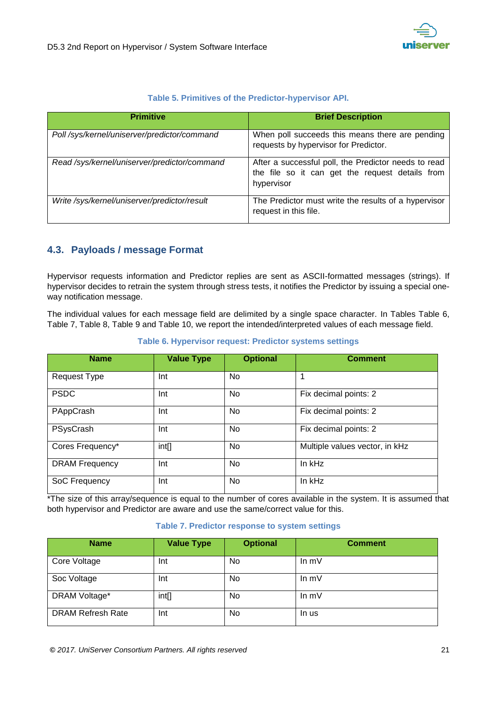

#### **Table 5. Primitives of the Predictor-hypervisor API.**

<span id="page-20-1"></span>

| <b>Primitive</b>                             | <b>Brief Description</b>                                                                                              |
|----------------------------------------------|-----------------------------------------------------------------------------------------------------------------------|
| Poll /sys/kernel/uniserver/predictor/command | When poll succeeds this means there are pending<br>requests by hypervisor for Predictor.                              |
| Read /sys/kernel/uniserver/predictor/command | After a successful poll, the Predictor needs to read<br>the file so it can get the request details from<br>hypervisor |
| Write /sys/kernel/uniserver/predictor/result | The Predictor must write the results of a hypervisor<br>request in this file.                                         |

#### <span id="page-20-0"></span>**4.3. Payloads / message Format**

Hypervisor requests information and Predictor replies are sent as ASCII-formatted messages (strings). If hypervisor decides to retrain the system through stress tests, it notifies the Predictor by issuing a special oneway notification message.

The individual values for each message field are delimited by a single space character. In Tables Table 6, Table 7, Table 8, Table 9 and Table 10, we report the intended/interpreted values of each message field.

#### **Table 6. Hypervisor request: Predictor systems settings**

<span id="page-20-2"></span>

| <b>Name</b>           | <b>Value Type</b> | <b>Optional</b> | <b>Comment</b>                 |
|-----------------------|-------------------|-----------------|--------------------------------|
| Request Type          | Int               | No              |                                |
| <b>PSDC</b>           | Int               | <b>No</b>       | Fix decimal points: 2          |
| PAppCrash             | Int               | No              | Fix decimal points: 2          |
| PSysCrash             | Int               | No              | Fix decimal points: 2          |
| Cores Frequency*      | int[]             | No              | Multiple values vector, in kHz |
| <b>DRAM Frequency</b> | Int               | <b>No</b>       | In kHz                         |
| SoC Frequency         | Int               | No              | In kHz                         |

\*The size of this array/sequence is equal to the number of cores available in the system. It is assumed that both hypervisor and Predictor are aware and use the same/correct value for this.

#### **Table 7. Predictor response to system settings**

<span id="page-20-3"></span>

| <b>Name</b>              | <b>Value Type</b> | <b>Optional</b> | <b>Comment</b> |
|--------------------------|-------------------|-----------------|----------------|
| Core Voltage             | Int               | No              | In $mV$        |
| Soc Voltage              | Int               | No              | In $mV$        |
| DRAM Voltage*            | int[]             | No              | In $mV$        |
| <b>DRAM Refresh Rate</b> | Int               | No              | In us          |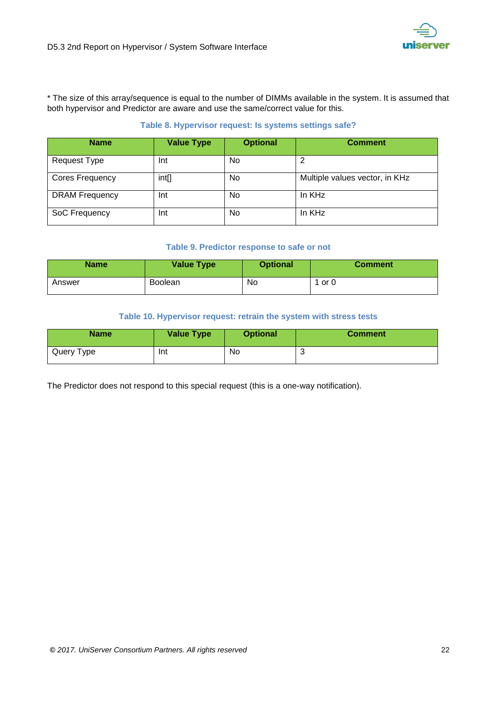

\* The size of this array/sequence is equal to the number of DIMMs available in the system. It is assumed that both hypervisor and Predictor are aware and use the same/correct value for this.

#### **Table 8. Hypervisor request: Is systems settings safe?**

<span id="page-21-0"></span>

| <b>Name</b>            | <b>Value Type</b> | <b>Optional</b> | <b>Comment</b>                 |
|------------------------|-------------------|-----------------|--------------------------------|
| Request Type           | Int               | No.             | າ                              |
| <b>Cores Frequency</b> | int[]             | No              | Multiple values vector, in KHz |
| <b>DRAM Frequency</b>  | Int               | No.             | In KHz                         |
| SoC Frequency          | Int               | No              | In KHz                         |

#### **Table 9. Predictor response to safe or not**

<span id="page-21-1"></span>

| <b>Name</b> | <b>Value Type</b> | <b>Optional</b> | <b>Comment</b> |
|-------------|-------------------|-----------------|----------------|
| Answer      | <b>Boolean</b>    | No              | 1 or 0         |

#### **Table 10. Hypervisor request: retrain the system with stress tests**

<span id="page-21-2"></span>

| <b>Name</b> | <b>Value Type</b> | <b>Optional</b> | <b>Comment</b> |
|-------------|-------------------|-----------------|----------------|
| Query Type  | Int               | No              | v              |

The Predictor does not respond to this special request (this is a one-way notification).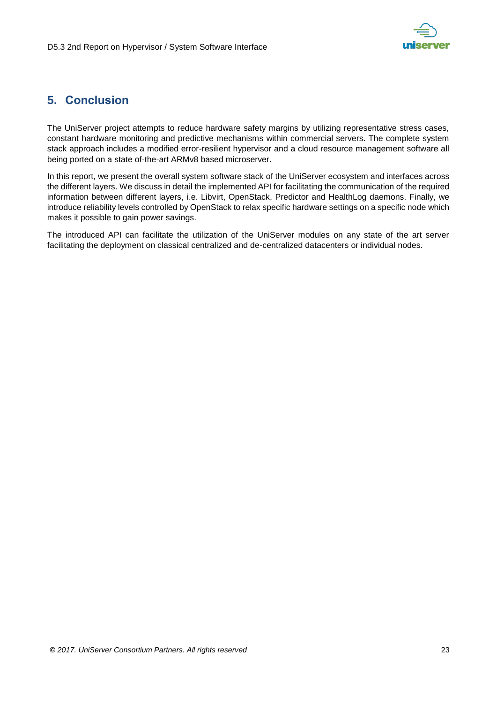

## <span id="page-22-0"></span>**5. Conclusion**

The UniServer project attempts to reduce hardware safety margins by utilizing representative stress cases, constant hardware monitoring and predictive mechanisms within commercial servers. The complete system stack approach includes a modified error-resilient hypervisor and a cloud resource management software all being ported on a state of-the-art ARMv8 based microserver.

In this report, we present the overall system software stack of the UniServer ecosystem and interfaces across the different layers. We discuss in detail the implemented API for facilitating the communication of the required information between different layers, i.e. Libvirt, OpenStack, Predictor and HealthLog daemons. Finally, we introduce reliability levels controlled by OpenStack to relax specific hardware settings on a specific node which makes it possible to gain power savings.

The introduced API can facilitate the utilization of the UniServer modules on any state of the art server facilitating the deployment on classical centralized and de-centralized datacenters or individual nodes.